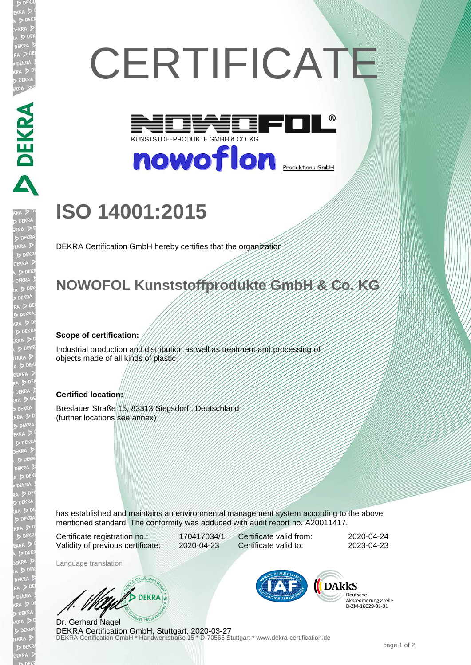# **CERTIFICATE**



nowoflon **Produktions-GmbH** 

## **ISO 14001:2015**

DEKRA Certification GmbH hereby certifies that the organization

### **NOWOFOL Kunststoffprodukte GmbH & Co. KG**

#### **Scope of certification:**

**ANDREAD** 

EKR  $D<sub>1</sub>$ 

> Industrial production and distribution as well as treatment and processing of objects made of all kinds of plastic

#### **Certified location:**

Breslauer Straße 15, 83313 Siegsdorf , Deutschland (further locations see annex)

has established and maintains an environmental management system according to the above mentioned standard. The conformity was adduced with audit report no. A20011417.

Certificate registration no.: 170417034/1 Validity of previous certificate: 2020-04-23

Certificate valid from: 2020-04-24 Certificate valid to: 2023-04-23

Language translation

DEKRA

DEKRA Certification GmbH \* Handwerkstraße 15 \* D-70565 Stuttgart \* www.dekra-certification.de Dr. Gerhard Nagel DEKRA Certification GmbH, Stuttgart, 2020-03-27



Deutsche Akkreditierungsstelle D-ZM-16029-01-01